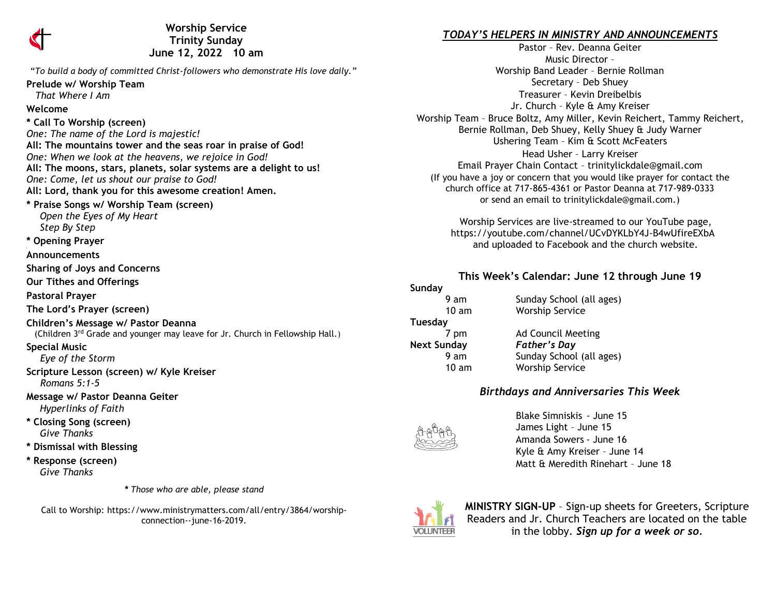

**Worship Service Trinity Sunday June 12, 2022 10 am** 

"*To build a body of committed Christ-followers who demonstrate His love daily."* **Prelude w/ Worship Team**  *That Where I Am* **Welcome \* Call To Worship (screen)** *One: The name of the Lord is majestic!* **All: The mountains tower and the seas roar in praise of God!** *One: When we look at the heavens, we rejoice in God!* **All: The moons, stars, planets, solar systems are a delight to us!** *One: Come, let us shout our praise to God!* **All: Lord, thank you for this awesome creation! Amen. \* Praise Songs w/ Worship Team (screen)**  *Open the Eyes of My Heart Step By Step* **\* Opening Prayer Announcements Sharing of Joys and Concerns Our Tithes and Offerings Pastoral Prayer The Lord's Prayer (screen) Children's Message w/ Pastor Deanna** (Children 3rd Grade and younger may leave for Jr. Church in Fellowship Hall.) **Special Music** *Eye of the Storm* **Scripture Lesson (screen) w/ Kyle Kreiser** *Romans 5:1-5* **Message w/ Pastor Deanna Geiter** *Hyperlinks of Faith* **\* Closing Song (screen)**  *Give Thanks* **\* Dismissal with Blessing \* Response (screen)**   *Give Thanks*

*\* Those who are able, please stand*

Call to Worship: https://www.ministrymatters.com/all/entry/3864/worshipconnection--june-16-2019.

## *TODAY'S HELPERS IN MINISTRY AND ANNOUNCEMENTS*

Pastor – Rev. Deanna Geiter Music Director – Worship Band Leader – Bernie Rollman Secretary – Deb Shuey Treasurer – Kevin Dreibelbis Jr. Church – Kyle & Amy Kreiser Worship Team – Bruce Boltz, Amy Miller, Kevin Reichert, Tammy Reichert, Bernie Rollman, Deb Shuey, Kelly Shuey & Judy Warner Ushering Team – Kim & Scott McFeaters Head Usher – Larry Kreiser Email Prayer Chain Contact – [trinitylickdale@gmail.com](mailto:trinitylickdale@gmail.com) (If you have a joy or concern that you would like prayer for contact the church office at 717-865-4361 or Pastor Deanna at 717-989-0333 or send an email to trinitylickdale@gmail.com.)

> Worship Services are live-streamed to our YouTube page, <https://youtube.com/channel/UCvDYKLbY4J-B4wUfireEXbA> and uploaded to Facebook and the church website.

#### **This Week's Calendar: June 12 through June 19**

**Sunday Tuesday Next Sunday** *Father's Day*

9 am Sunday School (all ages) 10 am Worship Service

7 pm Ad Council Meeting 9 am Sunday School (all ages) 10 am Worship Service

# *Birthdays and Anniversaries This Week*



Blake Simniskis - June 15 James Light – June 15 Amanda Sowers - June 16 Kyle & Amy Kreiser – June 14 Matt & Meredith Rinehart – June 18



**MINISTRY SIGN-UP** – Sign-up sheets for Greeters, Scripture Readers and Jr. Church Teachers are located on the table in the lobby. *Sign up for a week or so.*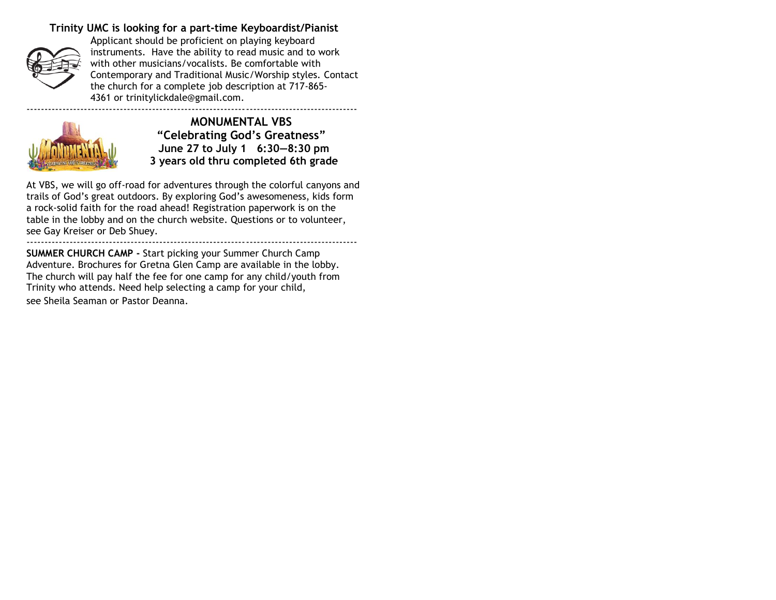# **Trinity UMC is looking for a part-time Keyboardist/Pianist**



Applicant should be proficient on playing keyboard instruments. Have the ability to read music and to work with other musicians/vocalists. Be comfortable with Contemporary and Traditional Music/Worship styles. Contact the church for a complete job description at 717-865- 4361 or [trinitylickdale@gmail.com.](mailto:trinitylickdale@gmail.com)

--------------------------------------------------------------------------------------------



**MONUMENTAL VBS "Celebrating God's Greatness" June 27 to July 1 6:30—8:30 pm 3 years old thru completed 6th grade**

At VBS, we will go off-road for adventures through the colorful canyons and trails of God's great outdoors. By exploring God's awesomeness, kids form a rock-solid faith for the road ahead! Registration paperwork is on the table in the lobby and on the church website. Questions or to volunteer, see Gay Kreiser or Deb Shuey. --------------------------------------------------------------------------------------------

**SUMMER CHURCH CAMP -** Start picking your Summer Church Camp Adventure. Brochures for Gretna Glen Camp are available in the lobby. The church will pay half the fee for one camp for any child/youth from Trinity who attends. Need help selecting a camp for your child, see Sheila Seaman or Pastor Deanna.